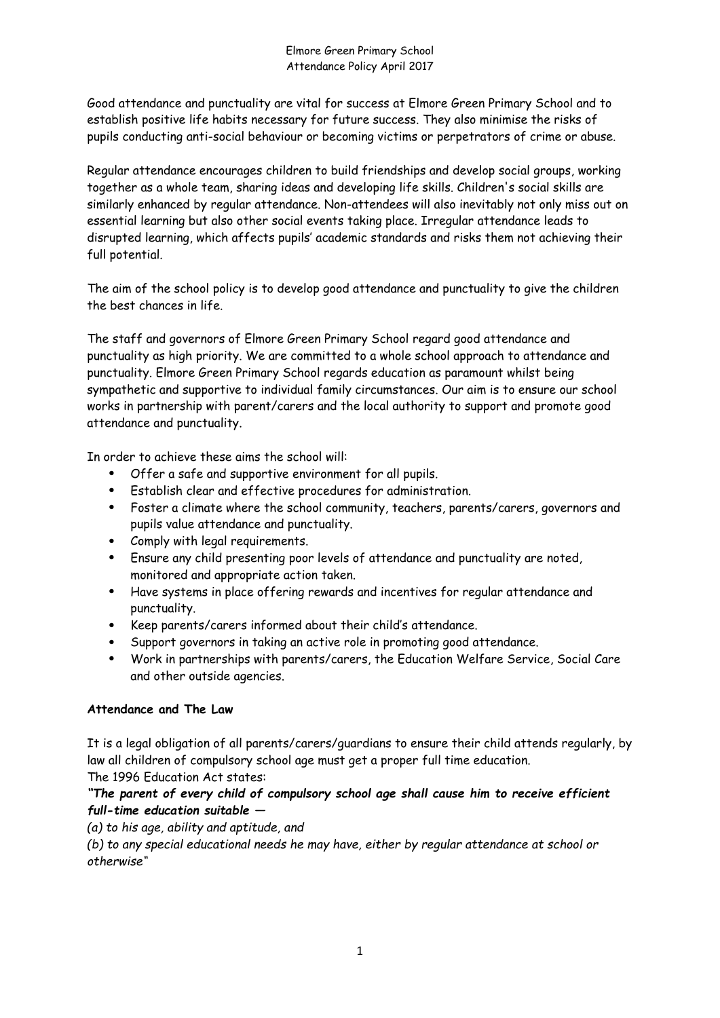Good attendance and punctuality are vital for success at Elmore Green Primary School and to establish positive life habits necessary for future success. They also minimise the risks of pupils conducting anti-social behaviour or becoming victims or perpetrators of crime or abuse.

Regular attendance encourages children to build friendships and develop social groups, working together as a whole team, sharing ideas and developing life skills. Children's social skills are similarly enhanced by regular attendance. Non-attendees will also inevitably not only miss out on essential learning but also other social events taking place. Irregular attendance leads to disrupted learning, which affects pupils' academic standards and risks them not achieving their full potential.

The aim of the school policy is to develop good attendance and punctuality to give the children the best chances in life.

The staff and governors of Elmore Green Primary School regard good attendance and punctuality as high priority. We are committed to a whole school approach to attendance and punctuality. Elmore Green Primary School regards education as paramount whilst being sympathetic and supportive to individual family circumstances. Our aim is to ensure our school works in partnership with parent/carers and the local authority to support and promote good attendance and punctuality.

In order to achieve these aims the school will:

- Offer a safe and supportive environment for all pupils.
- Establish clear and effective procedures for administration.
- Foster a climate where the school community, teachers, parents/carers, governors and pupils value attendance and punctuality.
- Comply with legal requirements.
- Ensure any child presenting poor levels of attendance and punctuality are noted, monitored and appropriate action taken.
- Have systems in place offering rewards and incentives for regular attendance and punctuality.
- Keep parents/carers informed about their child's attendance.
- Support governors in taking an active role in promoting good attendance.
- Work in partnerships with parents/carers, the Education Welfare Service, Social Care and other outside agencies.

### **Attendance and The Law**

It is a legal obligation of all parents/carers/guardians to ensure their child attends regularly, by law all children of compulsory school age must get a proper full time education. The 1996 Education Act states:

# *"The parent of every child of compulsory school age shall cause him to receive efficient full-time education suitable —*

*(a) to his age, ability and aptitude, and* 

*(b) to any special educational needs he may have, either by regular attendance at school or otherwise"*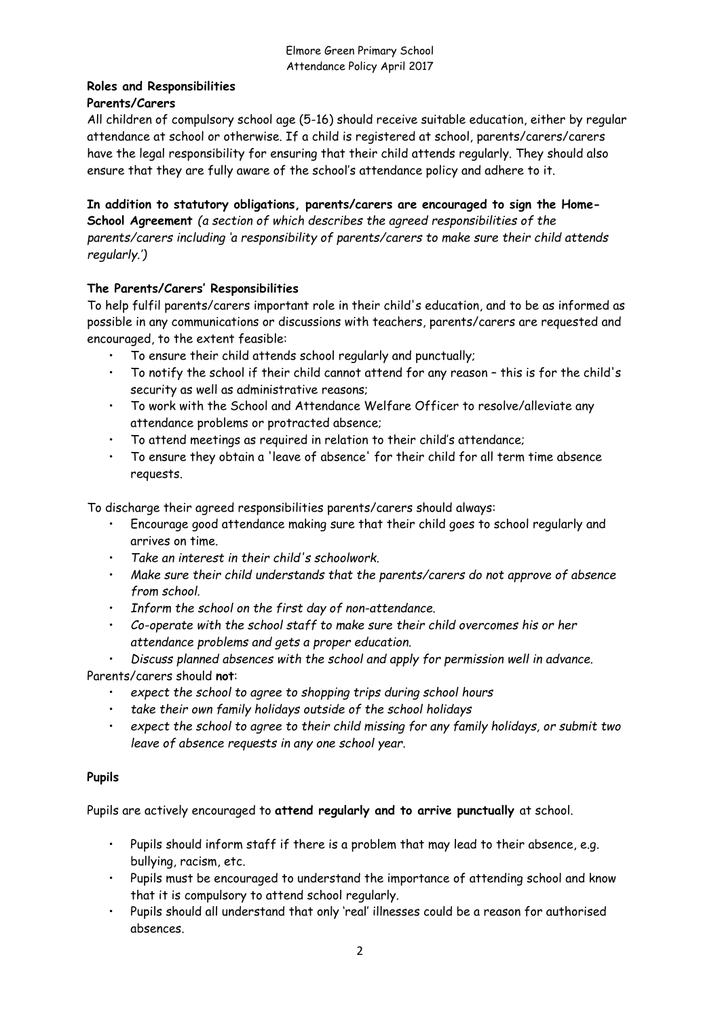# **Roles and Responsibilities Parents/Carers**

All children of compulsory school age (5-16) should receive suitable education, either by regular attendance at school or otherwise. If a child is registered at school, parents/carers/carers have the legal responsibility for ensuring that their child attends regularly. They should also ensure that they are fully aware of the school's attendance policy and adhere to it.

**In addition to statutory obligations, parents/carers are encouraged to sign the Home-School Agreement** *(a section of which describes the agreed responsibilities of the parents/carers including 'a responsibility of parents/carers to make sure their child attends regularly.')* 

# **The Parents/Carers' Responsibilities**

To help fulfil parents/carers important role in their child's education, and to be as informed as possible in any communications or discussions with teachers, parents/carers are requested and encouraged, to the extent feasible:

- To ensure their child attends school regularly and punctually;
- To notify the school if their child cannot attend for any reason this is for the child's security as well as administrative reasons;
- To work with the School and Attendance Welfare Officer to resolve/alleviate any attendance problems or protracted absence;
- To attend meetings as required in relation to their child's attendance;
- To ensure they obtain a 'leave of absence' for their child for all term time absence requests.

To discharge their agreed responsibilities parents/carers should always:

- Encourage good attendance making sure that their child goes to school regularly and arrives on time.
- *Take an interest in their child's schoolwork.*
- *Make sure their child understands that the parents/carers do not approve of absence from school.*
- *Inform the school on the first day of non-attendance.*
- *Co-operate with the school staff to make sure their child overcomes his or her attendance problems and gets a proper education.*

• *Discuss planned absences with the school and apply for permission well in advance.*

Parents/carers should **not**:

- *expect the school to agree to shopping trips during school hours*
- *take their own family holidays outside of the school holidays*
- *expect the school to agree to their child missing for any family holidays, or submit two leave of absence requests in any one school year.*

### **Pupils**

Pupils are actively encouraged to **attend regularly and to arrive punctually** at school.

- Pupils should inform staff if there is a problem that may lead to their absence, e.g. bullying, racism, etc.
- Pupils must be encouraged to understand the importance of attending school and know that it is compulsory to attend school regularly.
- Pupils should all understand that only 'real' illnesses could be a reason for authorised absences.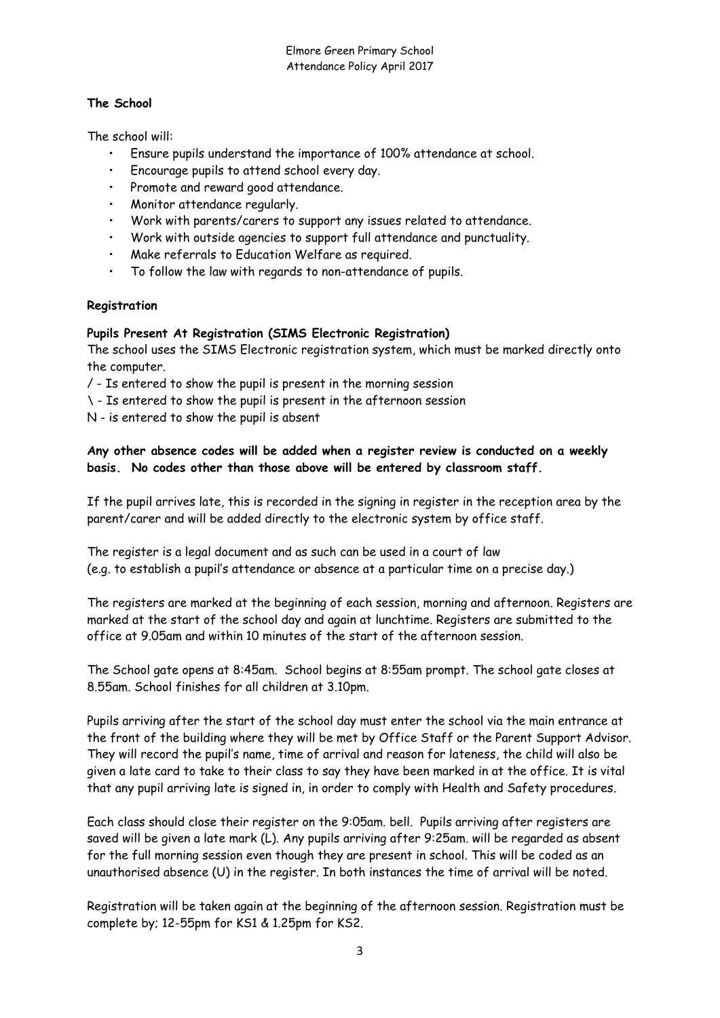## **The School**

The school will:

- Ensure pupils understand the importance of 100% attendance at school.
- Encourage pupils to attend school every day.
- Promote and reward good attendance.
- Monitor attendance regularly.
- Work with parents/carers to support any issues related to attendance.
- Work with outside agencies to support full attendance and punctuality.
- Make referrals to Education Welfare as required.
- To follow the law with regards to non-attendance of pupils.

# **Registration**

# **Pupils Present At Registration (SIMS Electronic Registration)**

The school uses the SIMS Electronic registration system, which must be marked directly onto the computer.

- / Is entered to show the pupil is present in the morning session
- \ Is entered to show the pupil is present in the afternoon session
- N is entered to show the pupil is absent

# **Any other absence codes will be added when a register review is conducted on a weekly basis. No codes other than those above will be entered by classroom staff.**

If the pupil arrives late, this is recorded in the signing in register in the reception area by the parent/carer and will be added directly to the electronic system by office staff.

The register is a legal document and as such can be used in a court of law (e.g. to establish a pupil's attendance or absence at a particular time on a precise day.)

The registers are marked at the beginning of each session, morning and afternoon. Registers are marked at the start of the school day and again at lunchtime. Registers are submitted to the office at 9.05am and within 10 minutes of the start of the afternoon session.

The School gate opens at 8:45am. School begins at 8:55am prompt. The school gate closes at 8.55am. School finishes for all children at 3.10pm.

Pupils arriving after the start of the school day must enter the school via the main entrance at the front of the building where they will be met by Office Staff or the Parent Support Advisor. They will record the pupil's name, time of arrival and reason for lateness, the child will also be given a late card to take to their class to say they have been marked in at the office. It is vital that any pupil arriving late is signed in, in order to comply with Health and Safety procedures.

Each class should close their register on the 9:05am. bell. Pupils arriving after registers are saved will be given a late mark (L). Any pupils arriving after 9:25am. will be regarded as absent for the full morning session even though they are present in school. This will be coded as an unauthorised absence (U) in the register. In both instances the time of arrival will be noted.

Registration will be taken again at the beginning of the afternoon session. Registration must be complete by; 12-55pm for KS1 & 1.25pm for KS2.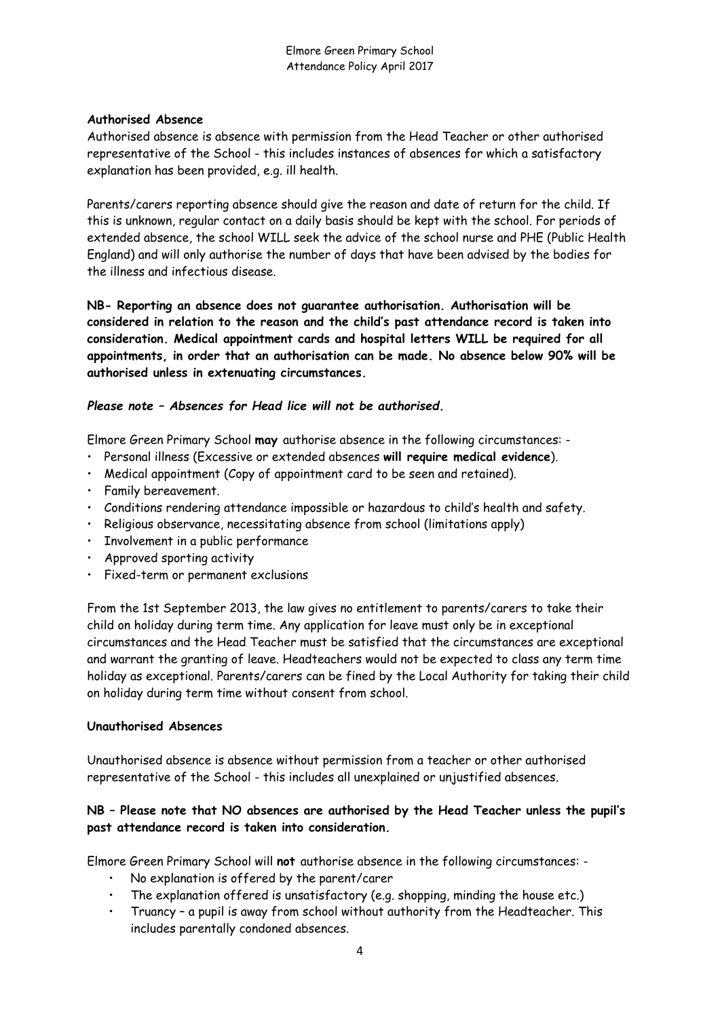#### **Authorised Absence**

Authorised absence is absence with permission from the Head Teacher or other authorised representative of the School - this includes instances of absences for which a satisfactory explanation has been provided, e.g. ill health.

Parents/carers reporting absence should give the reason and date of return for the child. If this is unknown, regular contact on a daily basis should be kept with the school. For periods of extended absence, the school WILL seek the advice of the school nurse and PHE (Public Health England) and will only authorise the number of days that have been advised by the bodies for the illness and infectious disease.

**NB- Reporting an absence does not guarantee authorisation. Authorisation will be considered in relation to the reason and the child's past attendance record is taken into consideration. Medical appointment cards and hospital letters WILL be required for all appointments, in order that an authorisation can be made. No absence below 90% will be authorised unless in extenuating circumstances.** 

### *Please note – Absences for Head lice will not be authorised.*

Elmore Green Primary School **may** authorise absence in the following circumstances: -

- Personal illness (Excessive or extended absences **will require medical evidence**).
- Medical appointment (Copy of appointment card to be seen and retained).
- Family bereavement.
- Conditions rendering attendance impossible or hazardous to child's health and safety.
- Religious observance, necessitating absence from school (limitations apply)
- Involvement in a public performance
- Approved sporting activity
- Fixed-term or permanent exclusions

From the 1st September 2013, the law gives no entitlement to parents/carers to take their child on holiday during term time. Any application for leave must only be in exceptional circumstances and the Head Teacher must be satisfied that the circumstances are exceptional and warrant the granting of leave. Headteachers would not be expected to class any term time holiday as exceptional. Parents/carers can be fined by the Local Authority for taking their child on holiday during term time without consent from school.

#### **Unauthorised Absences**

Unauthorised absence is absence without permission from a teacher or other authorised representative of the School - this includes all unexplained or unjustified absences.

# **NB – Please note that NO absences are authorised by the Head Teacher unless the pupil's past attendance record is taken into consideration.**

Elmore Green Primary School will **not** authorise absence in the following circumstances: -

- No explanation is offered by the parent/carer
- The explanation offered is unsatisfactory (e.g. shopping, minding the house etc.)
- Truancy a pupil is away from school without authority from the Headteacher. This includes parentally condoned absences.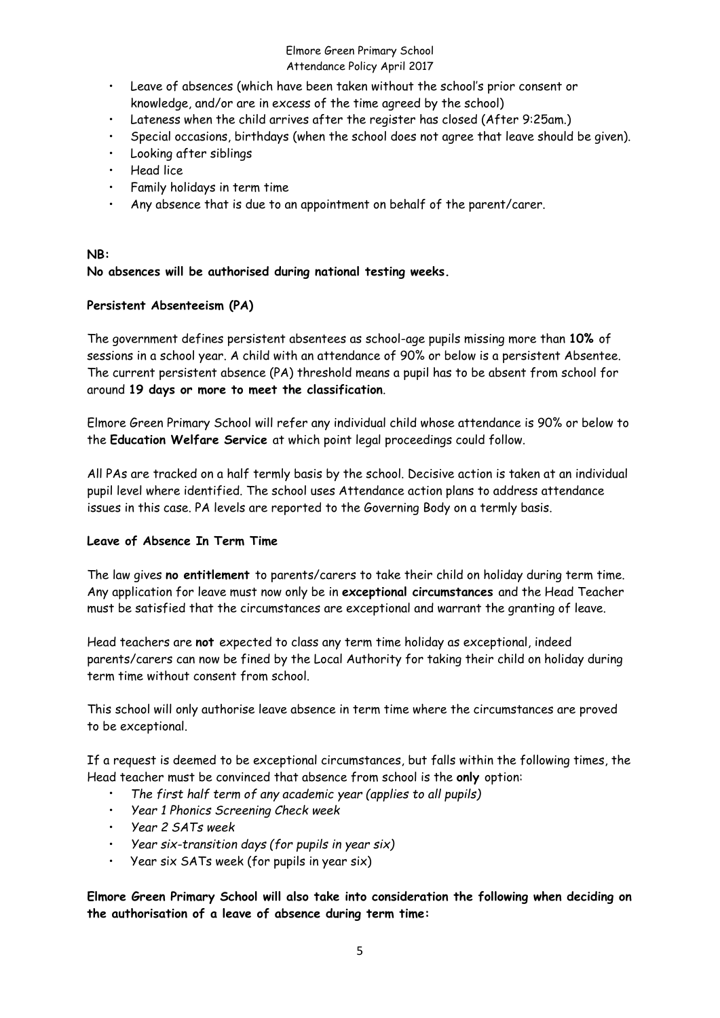- Leave of absences (which have been taken without the school's prior consent or knowledge, and/or are in excess of the time agreed by the school)
- Lateness when the child arrives after the register has closed (After 9:25am.)
- Special occasions, birthdays (when the school does not agree that leave should be given).
- Looking after siblings
- Head lice
- Family holidays in term time
- Any absence that is due to an appointment on behalf of the parent/carer.

#### **NB:**

# **No absences will be authorised during national testing weeks.**

### **Persistent Absenteeism (PA)**

The government defines persistent absentees as school-age pupils missing more than **10%** of sessions in a school year. A child with an attendance of 90% or below is a persistent Absentee. The current persistent absence (PA) threshold means a pupil has to be absent from school for around **19 days or more to meet the classification**.

Elmore Green Primary School will refer any individual child whose attendance is 90% or below to the **Education Welfare Service** at which point legal proceedings could follow.

All PAs are tracked on a half termly basis by the school. Decisive action is taken at an individual pupil level where identified. The school uses Attendance action plans to address attendance issues in this case. PA levels are reported to the Governing Body on a termly basis.

### **Leave of Absence In Term Time**

The law gives **no entitlement** to parents/carers to take their child on holiday during term time. Any application for leave must now only be in **exceptional circumstances** and the Head Teacher must be satisfied that the circumstances are exceptional and warrant the granting of leave.

Head teachers are **not** expected to class any term time holiday as exceptional, indeed parents/carers can now be fined by the Local Authority for taking their child on holiday during term time without consent from school.

This school will only authorise leave absence in term time where the circumstances are proved to be exceptional.

If a request is deemed to be exceptional circumstances, but falls within the following times, the Head teacher must be convinced that absence from school is the **only** option:

- *The first half term of any academic year (applies to all pupils)*
- *Year 1 Phonics Screening Check week*
- *Year 2 SATs week*
- *Year six-transition days (for pupils in year six)*
- Year six SATs week (for pupils in year six)

**Elmore Green Primary School will also take into consideration the following when deciding on the authorisation of a leave of absence during term time:**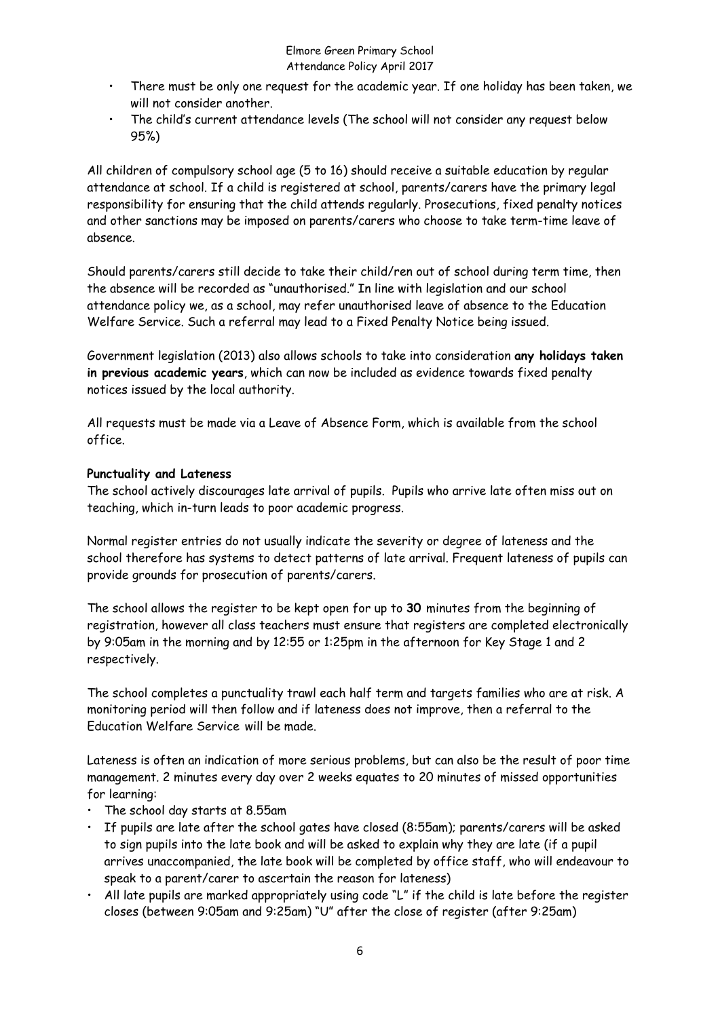- There must be only one request for the academic year. If one holiday has been taken, we will not consider another.
- The child's current attendance levels (The school will not consider any request below 95%)

All children of compulsory school age (5 to 16) should receive a suitable education by regular attendance at school. If a child is registered at school, parents/carers have the primary legal responsibility for ensuring that the child attends regularly. Prosecutions, fixed penalty notices and other sanctions may be imposed on parents/carers who choose to take term-time leave of absence.

Should parents/carers still decide to take their child/ren out of school during term time, then the absence will be recorded as "unauthorised." In line with legislation and our school attendance policy we, as a school, may refer unauthorised leave of absence to the Education Welfare Service. Such a referral may lead to a Fixed Penalty Notice being issued.

Government legislation (2013) also allows schools to take into consideration **any holidays taken in previous academic years**, which can now be included as evidence towards fixed penalty notices issued by the local authority.

All requests must be made via a Leave of Absence Form, which is available from the school office.

### **Punctuality and Lateness**

The school actively discourages late arrival of pupils. Pupils who arrive late often miss out on teaching, which in-turn leads to poor academic progress.

Normal register entries do not usually indicate the severity or degree of lateness and the school therefore has systems to detect patterns of late arrival. Frequent lateness of pupils can provide grounds for prosecution of parents/carers.

The school allows the register to be kept open for up to **30** minutes from the beginning of registration, however all class teachers must ensure that registers are completed electronically by 9:05am in the morning and by 12:55 or 1:25pm in the afternoon for Key Stage 1 and 2 respectively.

The school completes a punctuality trawl each half term and targets families who are at risk. A monitoring period will then follow and if lateness does not improve, then a referral to the Education Welfare Service will be made.

Lateness is often an indication of more serious problems, but can also be the result of poor time management. 2 minutes every day over 2 weeks equates to 20 minutes of missed opportunities for learning:

- The school day starts at 8.55am
- If pupils are late after the school gates have closed (8:55am); parents/carers will be asked to sign pupils into the late book and will be asked to explain why they are late (if a pupil arrives unaccompanied, the late book will be completed by office staff, who will endeavour to speak to a parent/carer to ascertain the reason for lateness)
- All late pupils are marked appropriately using code "L" if the child is late before the register closes (between 9:05am and 9:25am) "U" after the close of register (after 9:25am)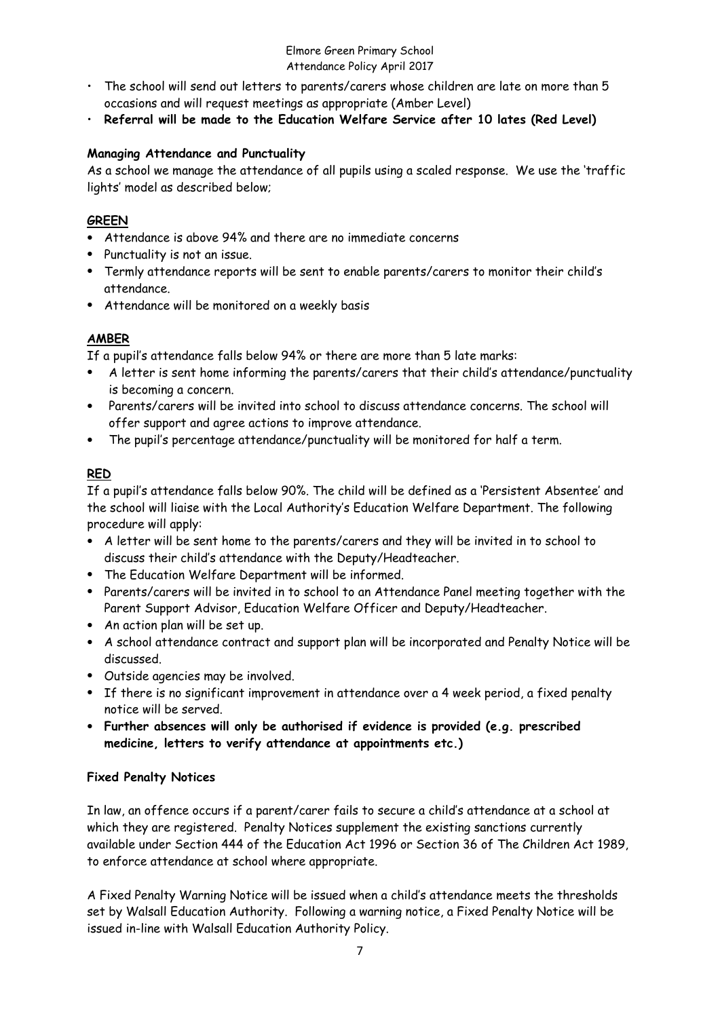- The school will send out letters to parents/carers whose children are late on more than 5 occasions and will request meetings as appropriate (Amber Level)
- **Referral will be made to the Education Welfare Service after 10 lates (Red Level)**

# **Managing Attendance and Punctuality**

As a school we manage the attendance of all pupils using a scaled response. We use the 'traffic lights' model as described below;

# **GREEN**

- Attendance is above 94% and there are no immediate concerns
- Punctuality is not an issue.
- Termly attendance reports will be sent to enable parents/carers to monitor their child's attendance.
- Attendance will be monitored on a weekly basis

# **AMBER**

If a pupil's attendance falls below 94% or there are more than 5 late marks:

- A letter is sent home informing the parents/carers that their child's attendance/punctuality is becoming a concern.
- Parents/carers will be invited into school to discuss attendance concerns. The school will offer support and agree actions to improve attendance.
- The pupil's percentage attendance/punctuality will be monitored for half a term.

# **RED**

If a pupil's attendance falls below 90%. The child will be defined as a 'Persistent Absentee' and the school will liaise with the Local Authority's Education Welfare Department. The following procedure will apply:

- A letter will be sent home to the parents/carers and they will be invited in to school to discuss their child's attendance with the Deputy/Headteacher.
- The Education Welfare Department will be informed.
- Parents/carers will be invited in to school to an Attendance Panel meeting together with the Parent Support Advisor, Education Welfare Officer and Deputy/Headteacher.
- An action plan will be set up.
- A school attendance contract and support plan will be incorporated and Penalty Notice will be discussed.
- Outside agencies may be involved.
- If there is no significant improvement in attendance over a 4 week period, a fixed penalty notice will be served.
- **Further absences will only be authorised if evidence is provided (e.g. prescribed medicine, letters to verify attendance at appointments etc.)**

# **Fixed Penalty Notices**

In law, an offence occurs if a parent/carer fails to secure a child's attendance at a school at which they are registered. Penalty Notices supplement the existing sanctions currently available under Section 444 of the Education Act 1996 or Section 36 of The Children Act 1989, to enforce attendance at school where appropriate.

A Fixed Penalty Warning Notice will be issued when a child's attendance meets the thresholds set by Walsall Education Authority. Following a warning notice, a Fixed Penalty Notice will be issued in-line with Walsall Education Authority Policy.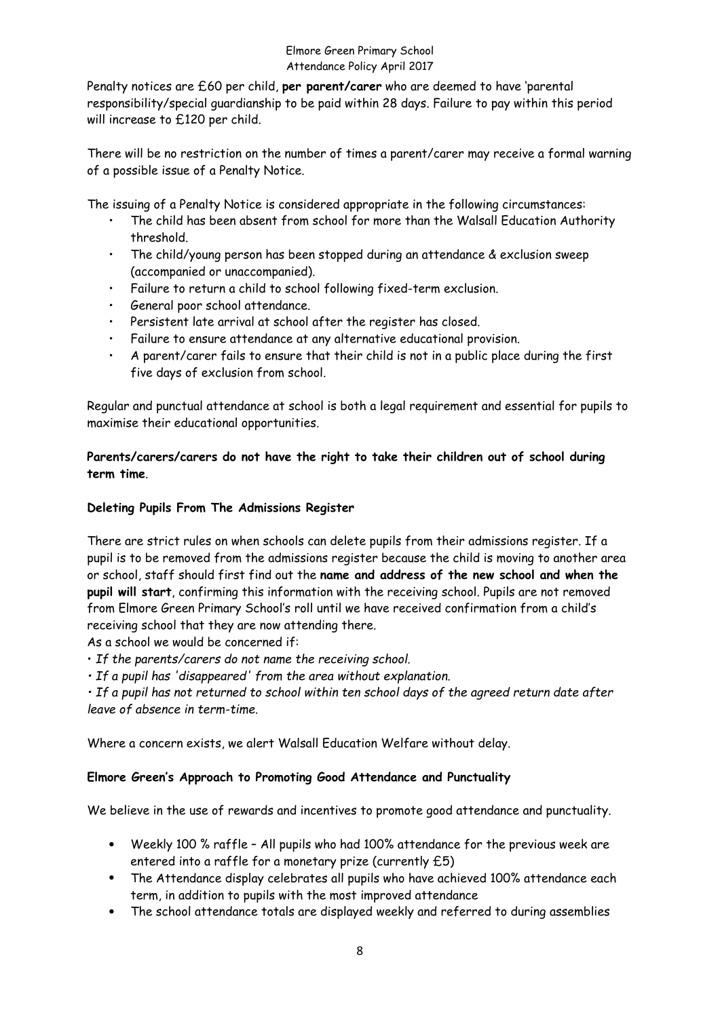Penalty notices are £60 per child, **per parent/carer** who are deemed to have 'parental responsibility/special guardianship to be paid within 28 days. Failure to pay within this period will increase to £120 per child.

There will be no restriction on the number of times a parent/carer may receive a formal warning of a possible issue of a Penalty Notice.

The issuing of a Penalty Notice is considered appropriate in the following circumstances:

- The child has been absent from school for more than the Walsall Education Authority threshold.
- The child/young person has been stopped during an attendance & exclusion sweep (accompanied or unaccompanied).
- Failure to return a child to school following fixed-term exclusion.
- General poor school attendance.
- Persistent late arrival at school after the register has closed.
- Failure to ensure attendance at any alternative educational provision.
- A parent/carer fails to ensure that their child is not in a public place during the first five days of exclusion from school.

Regular and punctual attendance at school is both a legal requirement and essential for pupils to maximise their educational opportunities.

## **Parents/carers/carers do not have the right to take their children out of school during term time**.

#### **Deleting Pupils From The Admissions Register**

There are strict rules on when schools can delete pupils from their admissions register. If a pupil is to be removed from the admissions register because the child is moving to another area or school, staff should first find out the **name and address of the new school and when the pupil will start**, confirming this information with the receiving school. Pupils are not removed from Elmore Green Primary School's roll until we have received confirmation from a child's receiving school that they are now attending there.

As a school we would be concerned if:

• *If the parents/carers do not name the receiving school.* 

*• If a pupil has 'disappeared' from the area without explanation.*

*• If a pupil has not returned to school within ten school days of the agreed return date after leave of absence in term-time.* 

Where a concern exists, we alert Walsall Education Welfare without delay.

### **Elmore Green's Approach to Promoting Good Attendance and Punctuality**

We believe in the use of rewards and incentives to promote good attendance and punctuality.

- Weekly 100 % raffle All pupils who had 100% attendance for the previous week are entered into a raffle for a monetary prize (currently £5)
- The Attendance display celebrates all pupils who have achieved 100% attendance each term, in addition to pupils with the most improved attendance
- The school attendance totals are displayed weekly and referred to during assemblies